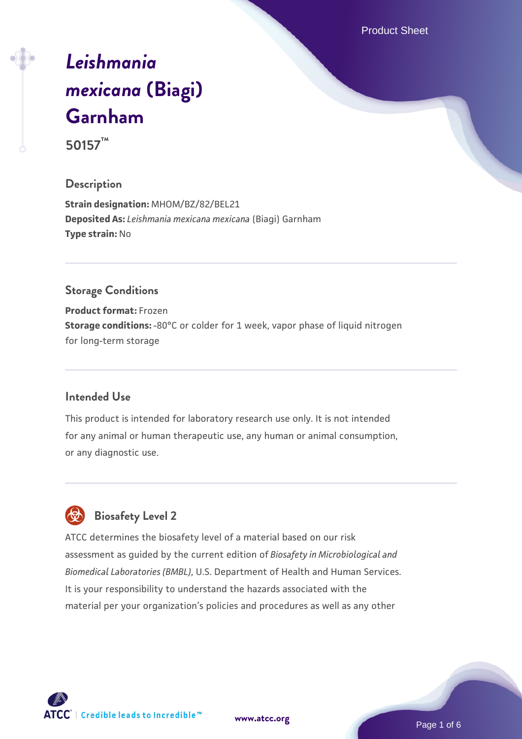Product Sheet

# *[Leishmania](https://www.atcc.org/products/50157) [mexicana](https://www.atcc.org/products/50157)* **[\(Biagi\)](https://www.atcc.org/products/50157) [Garnham](https://www.atcc.org/products/50157)**

**50157™**

## **Description**

**Strain designation:** MHOM/BZ/82/BEL21 **Deposited As:** *Leishmania mexicana mexicana* (Biagi) Garnham **Type strain:** No

## **Storage Conditions**

**Product format:** Frozen **Storage conditions:** -80°C or colder for 1 week, vapor phase of liquid nitrogen for long-term storage

## **Intended Use**

This product is intended for laboratory research use only. It is not intended for any animal or human therapeutic use, any human or animal consumption, or any diagnostic use.



# **Biosafety Level 2**

ATCC determines the biosafety level of a material based on our risk assessment as guided by the current edition of *Biosafety in Microbiological and Biomedical Laboratories (BMBL)*, U.S. Department of Health and Human Services. It is your responsibility to understand the hazards associated with the material per your organization's policies and procedures as well as any other

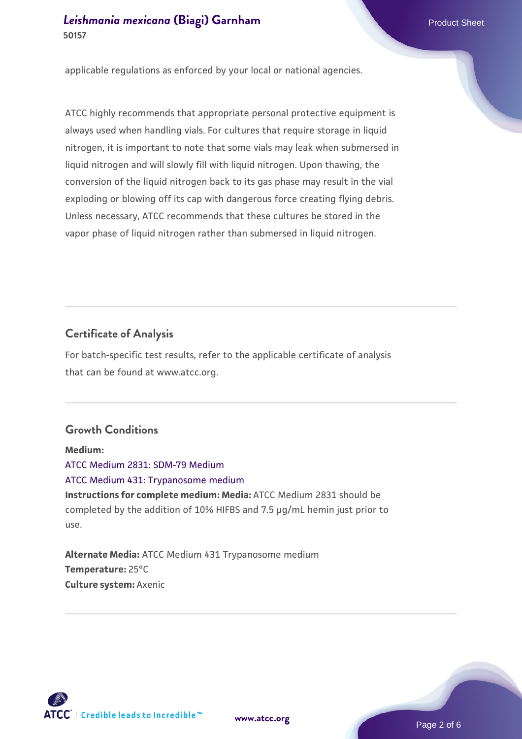applicable regulations as enforced by your local or national agencies.

ATCC highly recommends that appropriate personal protective equipment is always used when handling vials. For cultures that require storage in liquid nitrogen, it is important to note that some vials may leak when submersed in liquid nitrogen and will slowly fill with liquid nitrogen. Upon thawing, the conversion of the liquid nitrogen back to its gas phase may result in the vial exploding or blowing off its cap with dangerous force creating flying debris. Unless necessary, ATCC recommends that these cultures be stored in the vapor phase of liquid nitrogen rather than submersed in liquid nitrogen.

# **Certificate of Analysis**

For batch-specific test results, refer to the applicable certificate of analysis that can be found at www.atcc.org.

# **Growth Conditions**

**Medium:**  [ATCC Medium 2831: SDM-79 Medium](https://www.atcc.org/-/media/product-assets/documents/microbial-media-formulations/atcc-medium-2831.pdf?rev=aa2dd172d6a84683a647b7ee82f46b63) [ATCC Medium 431: Trypanosome medium](https://www.atcc.org/-/media/product-assets/documents/microbial-media-formulations/4/3/1/atcc-medium-431.pdf?rev=e51493ec43ea498098369514fe253a58) **Instructions for complete medium: Media:** ATCC Medium 2831 should be completed by the addition of 10% HIFBS and 7.5 µg/mL hemin just prior to use.

**Alternate Media:** ATCC Medium 431 Trypanosome medium **Temperature:** 25°C **Culture system:** Axenic

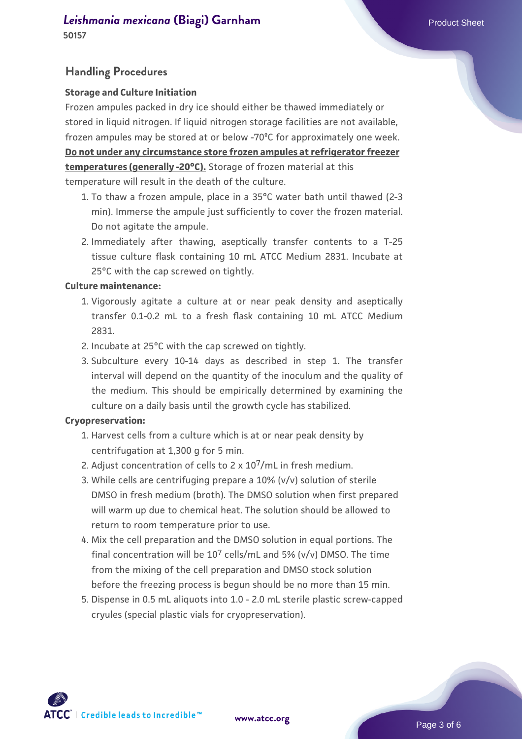# *[Leishmania mexicana](https://www.atcc.org/products/50157)* [\(Biagi\) Garnham](https://www.atcc.org/products/50157) **Product Sheet** Product Sheet

**50157**

### **Handling Procedures**

#### **Storage and Culture Initiation**

Frozen ampules packed in dry ice should either be thawed immediately or stored in liquid nitrogen. If liquid nitrogen storage facilities are not available, frozen ampules may be stored at or below -70ºC for approximately one week. **Do not under any circumstance store frozen ampules at refrigerator freezer temperatures (generally -20°C).** Storage of frozen material at this temperature will result in the death of the culture.

- 1. To thaw a frozen ampule, place in a 35°C water bath until thawed (2-3  $\,$ min). Immerse the ampule just sufficiently to cover the frozen material. Do not agitate the ampule.
- 2. Immediately after thawing, aseptically transfer contents to a T-25 tissue culture flask containing 10 mL ATCC Medium 2831. Incubate at 25°C with the cap screwed on tightly.

#### **Culture maintenance:**

- 1. Vigorously agitate a culture at or near peak density and aseptically transfer 0.1-0.2 mL to a fresh flask containing 10 mL ATCC Medium 2831.
- 2. Incubate at 25°C with the cap screwed on tightly.
- 3. Subculture every 10-14 days as described in step 1. The transfer interval will depend on the quantity of the inoculum and the quality of the medium. This should be empirically determined by examining the culture on a daily basis until the growth cycle has stabilized.

#### **Cryopreservation:**

- 1. Harvest cells from a culture which is at or near peak density by centrifugation at 1,300 g for 5 min.
- 2. Adjust concentration of cells to  $2 \times 10^7$ /mL in fresh medium.
- While cells are centrifuging prepare a 10% (v/v) solution of sterile 3. DMSO in fresh medium (broth). The DMSO solution when first prepared will warm up due to chemical heat. The solution should be allowed to return to room temperature prior to use.
- 4. Mix the cell preparation and the DMSO solution in equal portions. The final concentration will be  $10^7$  cells/mL and 5% (v/v) DMSO. The time from the mixing of the cell preparation and DMSO stock solution before the freezing process is begun should be no more than 15 min.
- 5. Dispense in 0.5 mL aliquots into 1.0 2.0 mL sterile plastic screw-capped cryules (special plastic vials for cryopreservation).

ATCC | Credible leads to Incredible™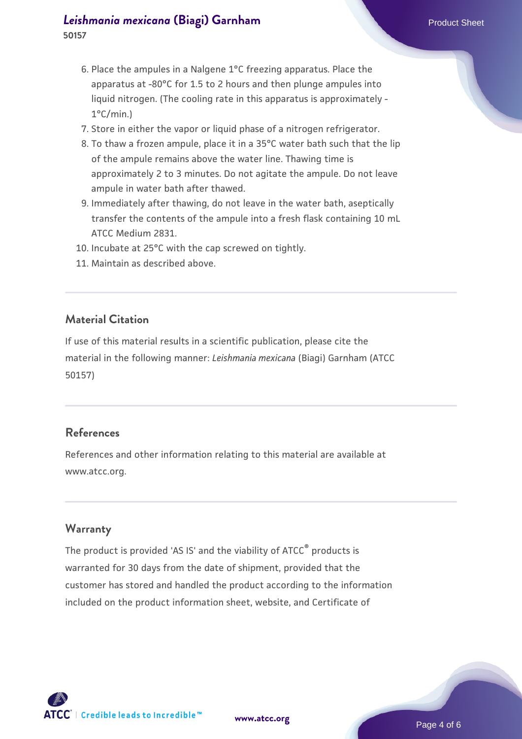## *[Leishmania mexicana](https://www.atcc.org/products/50157)* [\(Biagi\) Garnham](https://www.atcc.org/products/50157) **Product Sheet** Product Sheet **50157**

- 6. Place the ampules in a Nalgene  $1^{\circ}$ C freezing apparatus. Place the apparatus at -80°C for 1.5 to 2 hours and then plunge ampules into liquid nitrogen. (The cooling rate in this apparatus is approximately - 1°C/min.)
- 7. Store in either the vapor or liquid phase of a nitrogen refrigerator.
- 8. To thaw a frozen ampule, place it in a 35°C water bath such that the lip of the ampule remains above the water line. Thawing time is approximately 2 to 3 minutes. Do not agitate the ampule. Do not leave ampule in water bath after thawed.
- 9. Immediately after thawing, do not leave in the water bath, aseptically transfer the contents of the ampule into a fresh flask containing 10 mL ATCC Medium 2831.
- 10. Incubate at 25°C with the cap screwed on tightly.
- 11. Maintain as described above.

## **Material Citation**

If use of this material results in a scientific publication, please cite the material in the following manner: *Leishmania mexicana* (Biagi) Garnham (ATCC 50157)

## **References**

References and other information relating to this material are available at www.atcc.org.

## **Warranty**

The product is provided 'AS IS' and the viability of ATCC<sup>®</sup> products is warranted for 30 days from the date of shipment, provided that the customer has stored and handled the product according to the information included on the product information sheet, website, and Certificate of

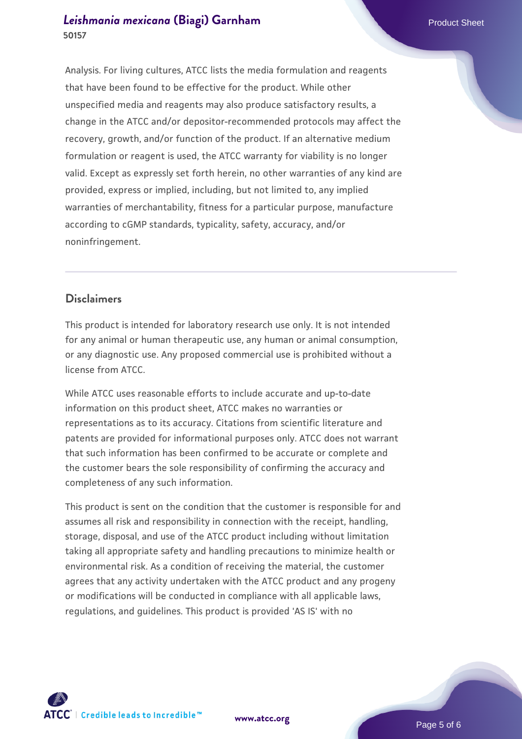## *[Leishmania mexicana](https://www.atcc.org/products/50157)* [\(Biagi\) Garnham](https://www.atcc.org/products/50157) **Product Sheet** Product Sheet **50157**

Analysis. For living cultures, ATCC lists the media formulation and reagents that have been found to be effective for the product. While other unspecified media and reagents may also produce satisfactory results, a change in the ATCC and/or depositor-recommended protocols may affect the recovery, growth, and/or function of the product. If an alternative medium formulation or reagent is used, the ATCC warranty for viability is no longer valid. Except as expressly set forth herein, no other warranties of any kind are provided, express or implied, including, but not limited to, any implied warranties of merchantability, fitness for a particular purpose, manufacture according to cGMP standards, typicality, safety, accuracy, and/or noninfringement.

## **Disclaimers**

This product is intended for laboratory research use only. It is not intended for any animal or human therapeutic use, any human or animal consumption, or any diagnostic use. Any proposed commercial use is prohibited without a license from ATCC.

While ATCC uses reasonable efforts to include accurate and up-to-date information on this product sheet, ATCC makes no warranties or representations as to its accuracy. Citations from scientific literature and patents are provided for informational purposes only. ATCC does not warrant that such information has been confirmed to be accurate or complete and the customer bears the sole responsibility of confirming the accuracy and completeness of any such information.

This product is sent on the condition that the customer is responsible for and assumes all risk and responsibility in connection with the receipt, handling, storage, disposal, and use of the ATCC product including without limitation taking all appropriate safety and handling precautions to minimize health or environmental risk. As a condition of receiving the material, the customer agrees that any activity undertaken with the ATCC product and any progeny or modifications will be conducted in compliance with all applicable laws, regulations, and guidelines. This product is provided 'AS IS' with no